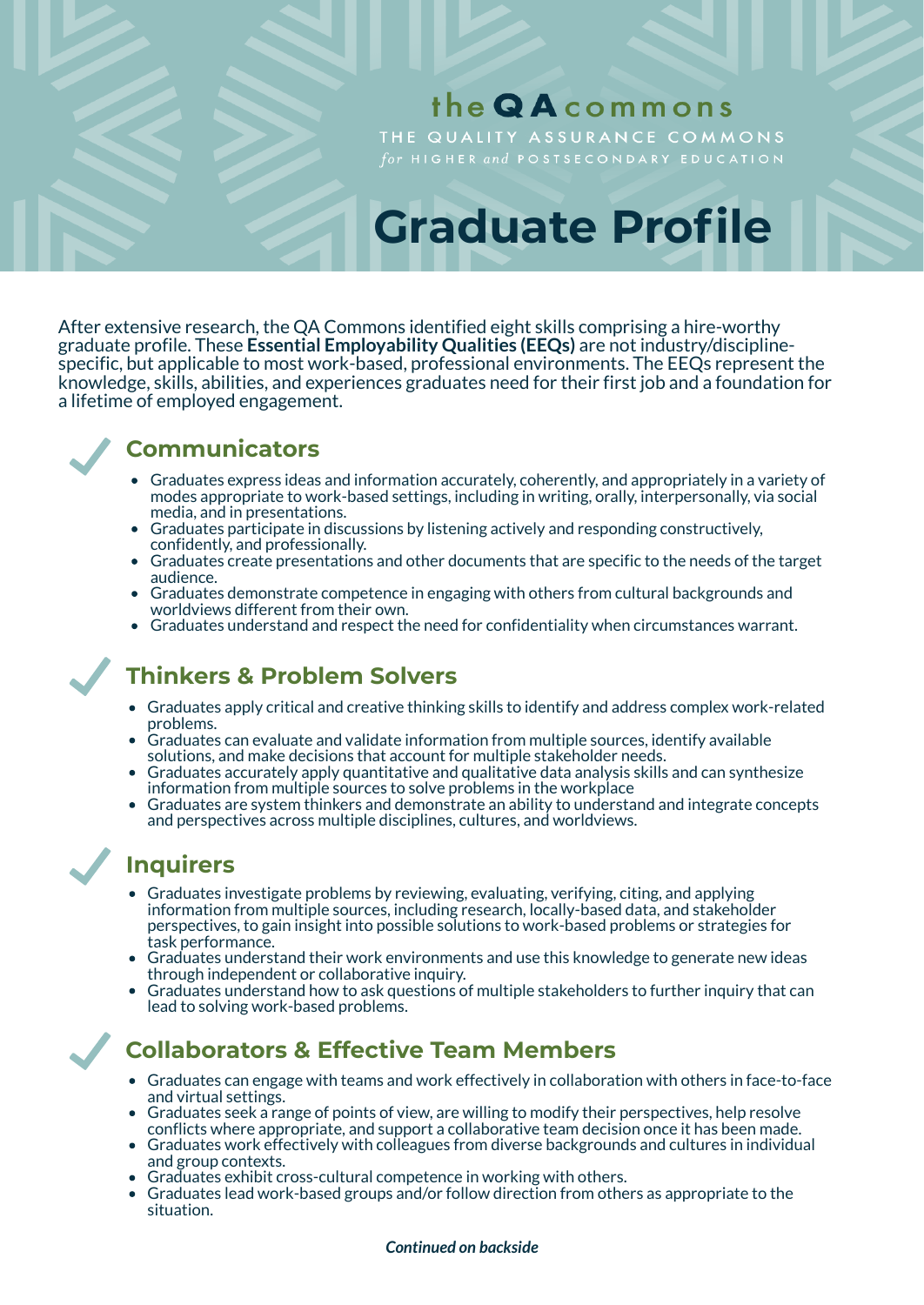# the QA commons

THE QUALITY ASSURANCE COMMONS

# **Graduate Profile**

After extensive research, the QA Commons identified eight skills comprising a hire-worthy graduate profile. These **Essential Employability Qualities (EEQs)** are not industry/disciplinespecific, but applicable to most work-based, professional environments. The EEQs represent the knowledge, skills, abilities, and experiences graduates need for their first job and a foundation for a lifetime of employed engagement.

## **Communicators**

- Graduates express ideas and information accurately, coherently, and appropriately in a variety of modes appropriate to work-based settings, including in writing, orally, interpersonally, via social media, and in presentations.
- Graduates participate in discussions by listening actively and responding constructively, confidently, and professionally.
- Graduates create presentations and other documents that are specific to the needs of the target audience.
- Graduates demonstrate competence in engaging with others from cultural backgrounds and worldviews different from their own.
- Graduates understand and respect the need for confidentiality when circumstances warrant.

# **Thinkers & Problem Solvers**

- Graduates apply critical and creative thinking skills to identify and address complex work-related problems.
- Graduates can evaluate and validate information from multiple sources, identify available solutions, and make decisions that account for multiple stakeholder needs.
- Graduates accurately apply quantitative and qualitative data analysis skills and can synthesize information from multiple sources to solve problems in the workplace
- Graduates are system thinkers and demonstrate an ability to understand and integrate concepts and perspectives across multiple disciplines, cultures, and worldviews.

# **Inquirers**

- Graduates investigate problems by reviewing, evaluating, verifying, citing, and applying information from multiple sources, including research, locally-based data, and stakeholder perspectives, to gain insight into possible solutions to work-based problems or strategies for task performance.
- Graduates understand their work environments and use this knowledge to generate new ideas through independent or collaborative inquiry.
- Graduates understand how to ask questions of multiple stakeholders to further inquiry that can lead to solving work-based problems.

# **Collaborators & Effective Team Members**

- Graduates can engage with teams and work effectively in collaboration with others in face-to-face and virtual settings.
- Graduates seek a range of points of view, are willing to modify their perspectives, help resolve conflicts where appropriate, and support a collaborative team decision once it has been made.
- Graduates work effectively with colleagues from diverse backgrounds and cultures in individual and group contexts.
- Graduates exhibit cross-cultural competence in working with others.
- Graduates lead work-based groups and/or follow direction from others as appropriate to the situation.

## *Continued on backside*